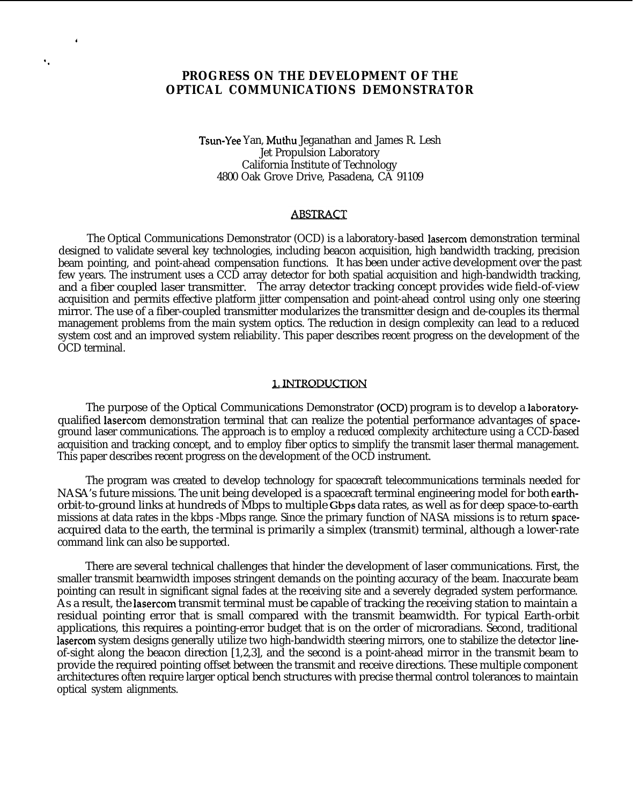# **PROGRESS ON THE DEVELOPMENT OF THE OPTICAL COMMUNICATIONS DEMONSTRATOR**

**",**

Tsun-Yee Yan, Muthu Jeganathan and James R. Lesh Jet Propulsion Laboratory California Institute of Technology 4800 Oak Grove Drive, Pasadena, CA 91109

#### **ABSTRACT**

The Optical Communications Demonstrator (OCD) is a laboratory-based lasercom demonstration terminal designed to validate several key technologies, including beacon acquisition, high bandwidth tracking, precision beam pointing, and point-ahead compensation functions. It has been under active development over the past few years. The instrument uses a CCD array detector for both spatial acquisition and high-bandwidth tracking, and a fiber coupled laser transmitter. The array detector tracking concept provides wide field-of-view acquisition and permits effective platform jitter compensation and point-ahead control using only one steering mirror. The use of a fiber-coupled transmitter modularizes the transmitter design and de-couples its thermal management problems from the main system optics. The reduction in design complexity can lead to a reduced system cost and an improved system reliability. This paper describes recent progress on the development of the OCD terminal.

#### J. INTRODUCTION

The purpose of the Optical Communications Demonstrator (OCD) program is to develop a laboratoryqualified lasercom demonstration terminal that can realize the potential performance advantages of spaceground laser communications. The approach is to employ a reduced complexity architecture using a CCD-based acquisition and tracking concept, and to employ fiber optics to simplify the transmit laser thermal management. This paper describes recent progress on the development of the OCD instrument.

The program was created to develop technology for spacecraft telecommunications terminals needed for NASA's future missions. The unit being developed is a spacecraft terminal engineering model for both earthorbit-to-ground links at hundreds of Mbps to multiple Gbps data rates, as well as for deep space-to-earth missions at data rates in the kbps -Mbps range. Since the primary function of NASA missions is to return spaceacquired data to the earth, the terminal is primarily a simplex (transmit) terminal, although a lower-rate command link can also be supported.

There are several technical challenges that hinder the development of laser communications. First, the smaller transmit bearnwidth imposes stringent demands on the pointing accuracy of the beam. Inaccurate beam pointing can result in significant signal fades at the receiving site and a severely degraded system performance. As a result, the lasercom transmit terminal must be capable of tracking the receiving station to maintain a residual pointing error that is small compared with the transmit beamwidth. For typical Earth-orbit applications, this requires a pointing-error budget that is on the order of microradians. Second, traditional lasercom system designs generally utilize two high-bandwidth steering mirrors, one to stabilize the detector lineof-sight along the beacon direction [1,2,3], and the second is a point-ahead mirror in the transmit beam to provide the required pointing offset between the transmit and receive directions. These multiple component architectures often require larger optical bench structures with precise thermal control tolerances to maintain optical system alignments.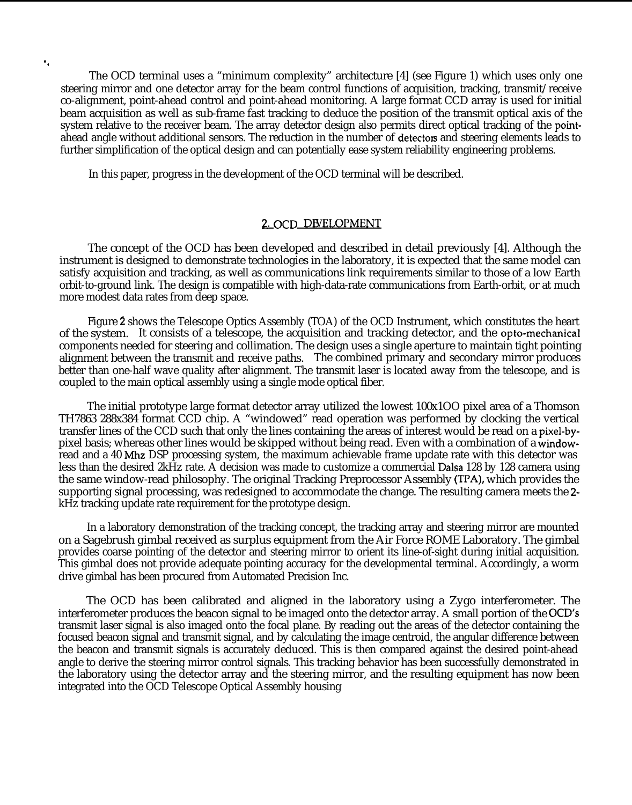The OCD terminal uses a "minimum complexity" architecture [4] (see Figure 1) which uses only one steering mirror and one detector array for the beam control functions of acquisition, tracking, transmit/receive co-alignment, point-ahead control and point-ahead monitoring. A large format CCD array is used for initial beam acquisition as well as sub-frame fast tracking to deduce the position of the transmit optical axis of the system relative to the receiver beam. The array detector design also permits direct optical tracking of the pointahead angle without additional sensors. The reduction in the number of detectors and steering elements leads to further simplification of the optical design and can potentially ease system reliability engineering problems.

In this paper, progress in the development of the OCD terminal will be described.

 $\ddot{\phantom{a}}$ 

## 2. OCD DEv**ELOPMENT**

The concept of the OCD has been developed and described in detail previously [4]. Although the instrument is designed to demonstrate technologies in the laboratory, it is expected that the same model can satisfy acquisition and tracking, as well as communications link requirements similar to those of a low Earth orbit-to-ground link. The design is compatible with high-data-rate communications from Earth-orbit, or at much more modest data rates from deep space.

Figure 2 shows the Telescope Optics Assembly (TOA) of the OCD Instrument, which constitutes the heart of the system. It consists of a telescope, the acquisition and tracking detector, and the opto-mechanical components needed for steering and collimation. The design uses a single aperture to maintain tight pointing alignment between the transmit and receive paths. The combined primary and secondary mirror produces better than one-half wave quality after alignment. The transmit laser is located away from the telescope, and is coupled to the main optical assembly using a single mode optical fiber.

The initial prototype large format detector array utilized the lowest 100x1OO pixel area of a Thomson TH7863 288x384 format CCD chip. A "windowed" read operation was performed by clocking the vertical transfer lines of the CCD such that only the lines containing the areas of interest would be read on a pixel-bypixel basis; whereas other lines would be skipped without being read. Even with a combination of a windowread and a 40 Mhz DSP processing system, the maximum achievable frame update rate with this detector was less than the desired 2kHz rate. A decision was made to customize a commercial Dalsa 128 by 128 camera using the same window-read philosophy. The original Tracking Preprocessor Assembly (TPA), which provides the supporting signal processing, was redesigned to accommodate the change. The resulting camera meets the 2 kHz tracking update rate requirement for the prototype design.

In a laboratory demonstration of the tracking concept, the tracking array and steering mirror are mounted on a Sagebrush gimbal received as surplus equipment from the Air Force ROME Laboratory. The gimbal provides coarse pointing of the detector and steering mirror to orient its line-of-sight during initial acquisition. This gimbal does not provide adequate pointing accuracy for the developmental terminal. Accordingly, a worm drive gimbal has been procured from Automated Precision Inc.

The OCD has been calibrated and aligned in the laboratory using a Zygo interferometer. The interferometer produces the beacon signal to be imaged onto the detector array. A small portion of the OCD'S transmit laser signal is also imaged onto the focal plane. By reading out the areas of the detector containing the focused beacon signal and transmit signal, and by calculating the image centroid, the angular difference between the beacon and transmit signals is accurately deduced. This is then compared against the desired point-ahead angle to derive the steering mirror control signals. This tracking behavior has been successfully demonstrated in the laboratory using the detector array and the steering mirror, and the resulting equipment has now been integrated into the OCD Telescope Optical Assembly housing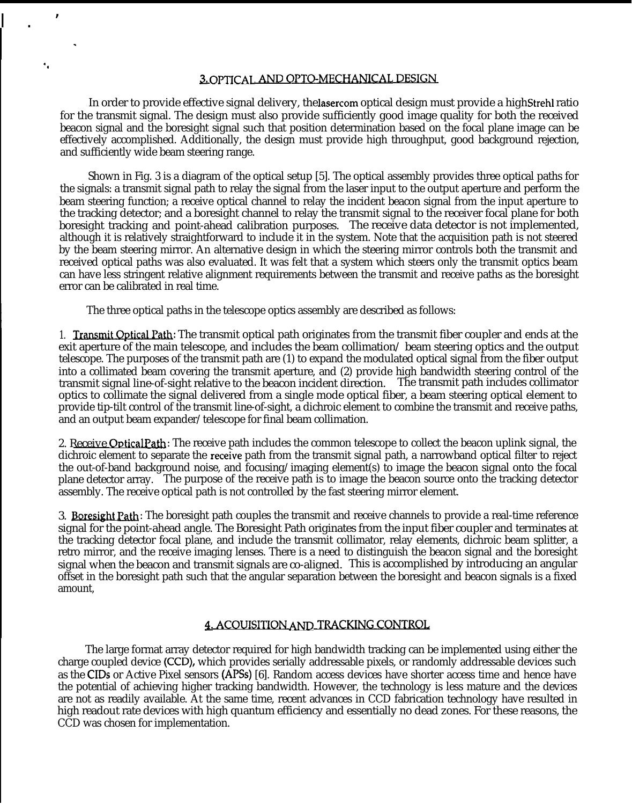# 3. OPTICAL AND OPTO-MECHANICAL DESIGN

In order to provide effective signal delivery, the lasercom optical design must provide a high Strehl ratio for the transmit signal. The design must also provide sufficiently good image quality for both the received beacon signal and the boresight signal such that position determination based on the focal plane image can be effectively accomplished. Additionally, the design must provide high throughput, good background rejection, and sufficiently wide beam steering range.

Shown in Fig. 3 is a diagram of the optical setup [5]. The optical assembly provides three optical paths for the signals: a transmit signal path to relay the signal from the laser input to the output aperture and perform the beam steering function; a receive optical channel to relay the incident beacon signal from the input aperture to the tracking detector; and a boresight channel to relay the transmit signal to the receiver focal plane for both boresight tracking and point-ahead calibration purposes. The receive data detector is not implemented, although it is relatively straightforward to include it in the system. Note that the acquisition path is not steered by the beam steering mirror. An alternative design in which the steering mirror controls both the transmit and received optical paths was also evaluated. It was felt that a system which steers only the transmit optics beam can have less stringent relative alignment requirements between the transmit and receive paths as the boresight error can be calibrated in real time.

The three optical paths in the telescope optics assembly are described as follows:

 $\vert$  .  $\vert$  '

**I**

**",**

.

1. Transmit Optical path is was also evaluated. It was felt that a system which steers only the transmit optics beam<br>can have less stringent relative alignment requirements between the transmit and receive paths as the bor exit aperture of the main telescope, and includes the beam collimation/ beam steering optics and the output telescope. The purposes of the transmit path are (1) to expand the modulated optical signal from the fiber output into a collimated beam covering the transmit aperture, and (2) provide high bandwidth steering control of the transmit signal line-of-sight relative to the beacon incident direction. The transmit path includes collimator optics to collimate the signal delivered from a single mode optical fiber, a beam steering optical element to provide tip-tilt control of the transmit line-of-sight, a dichroic element to combine the transmit and receive paths, and an output beam expander/telescope for final beam collimation.

2. Receive Optical Path: The receive path includes the common telescope to collect the beacon uplink signal, the dichroic element to separate the receive path from the transmit signal path, a narrowband optical filter to reject the out-of-band background noise, and focusing/imaging element(s) to image the beacon signal onto the focal plane detector array. The purpose of the receive path is to image the beacon source onto the tracking detector assembly. The receive optical path is not controlled by the fast steering mirror element.

3. Boresight Path: The boresight path couples the transmit and receive channels to provide a real-time reference signal for the point-ahead angle. The Boresight Path originates from the input fiber coupler and terminates at the tracking detector focal plane, and include the transmit collimator, relay elements, dichroic beam splitter, a retro mirror, and the receive imaging lenses. There is a need to distinguish the beacon signal and the boresight signal when the beacon and transmit signals are co-aligned. This is accomplished by introducing an angular offset in the boresight path such that the angular separation between the boresight and beacon signals is a fixed amount,

# **4. ACOUISITION AND TRACKING CONTROL**

The large format array detector required for high bandwidth tracking can be implemented using either the charge coupled device (CCD), which provides serially addressable pixels, or randomly addressable devices such as the CIDs or Active Pixel sensors (APSs) [6]. Random access devices have shorter access time and hence have the potential of achieving higher tracking bandwidth. However, the technology is less mature and the devices are not as readily available. At the same time, recent advances in CCD fabrication technology have resulted in high readout rate devices with high quantum efficiency and essentially no dead zones. For these reasons, the CCD was chosen for implementation.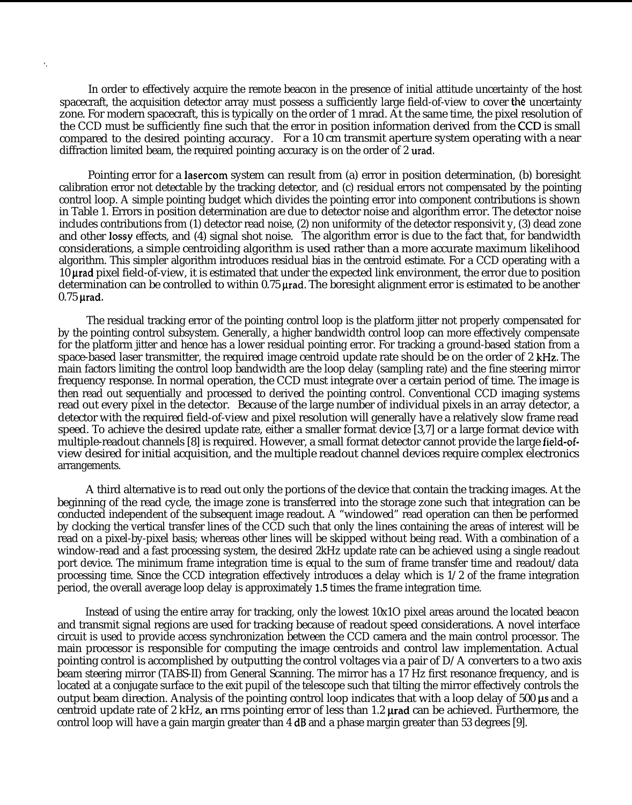In order to effectively acquire the remote beacon in the presence of initial attitude uncertainty of the host spacecraft, the acquisition detector array must possess a sufficiently large field-of-view to cover the uncertainty zone. For modern spacecraft, this is typically on the order of 1 mrad. At the same time, the pixel resolution of the CCD must be sufficiently fine such that the error in position information derived from the CCD is small compared to the desired pointing accuracy. For a 10 cm transmit aperture system operating with a near diffraction limited beam, the required pointing accuracy is on the order of 2 urad.

**'.**

Pointing error for a lasercom system can result from (a) error in position determination, (b) boresight calibration error not detectable by the tracking detector, and (c) residual errors not compensated by the pointing control loop. A simple pointing budget which divides the pointing error into component contributions is shown in Table 1. Errors in position determination are due to detector noise and algorithm error. The detector noise includes contributions from (1) detector read noise, (2) non uniformity of the detector responsivit y, (3) dead zone and other lossy effects, and (4) signal shot noise. The algorithm error is due to the fact that, for bandwidth considerations, a simple centroiding algorithm is used rather than a more accurate maximum likelihood algorithm. This simpler algorithm introduces residual bias in the centroid estimate. For a CCD operating with a 10 yrad pixel field-of-view, it is estimated that under the expected link environment, the error due to position determination can be controlled to within 0.75  $\mu$ rad. The boresight alignment error is estimated to be another  $0.75$   $\mu$ rad.

The residual tracking error of the pointing control loop is the platform jitter not properly compensated for by the pointing control subsystem. Generally, a higher bandwidth control loop can more effectively compensate for the platform jitter and hence has a lower residual pointing error. For tracking a ground-based station from a space-based laser transmitter, the required image centroid update rate should be on the order of 2 kHz. The main factors limiting the control loop bandwidth are the loop delay (sampling rate) and the fine steering mirror frequency response. In normal operation, the CCD must integrate over a certain period of time. The image is then read out sequentially and processed to derived the pointing control. Conventional CCD imaging systems read out every pixel in the detector. Because of the large number of individual pixels in an array detector, a detector with the required field-of-view and pixel resolution will generally have a relatively slow frame read speed. To achieve the desired update rate, either a smaller format device [3,7] or a large format device with multiple-readout channels [8] is required. However, a small format detector cannot provide the large field-ofview desired for initial acquisition, and the multiple readout channel devices require complex electronics arrangements.

A third alternative is to read out only the portions of the device that contain the tracking images. At the beginning of the read cycle, the image zone is transferred into the storage zone such that integration can be conducted independent of the subsequent image readout. A "windowed" read operation can then be performed by clocking the vertical transfer lines of the CCD such that only the lines containing the areas of interest will be read on a pixel-by-pixel basis; whereas other lines will be skipped without being read. With a combination of a window-read and a fast processing system, the desired 2kHz update rate can be achieved using a single readout port device. The minimum frame integration time is equal to the sum of frame transfer time and readout/data processing time. Since the CCD integration effectively introduces a delay which is 1/2 of the frame integration period, the overall average loop delay is approximately 1.5 times the frame integration time.

Instead of using the entire array for tracking, only the lowest 10x1O pixel areas around the located beacon and transmit signal regions are used for tracking because of readout speed considerations. A novel interface circuit is used to provide access synchronization between the CCD camera and the main control processor. The main processor is responsible for computing the image centroids and control law implementation. Actual pointing control is accomplished by outputting the control voltages via a pair of D/A converters to a two axis beam steering mirror (TABS-II) from General Scanning. The mirror has a 17 Hz first resonance frequency, and is located at a conjugate surface to the exit pupil of the telescope such that tilting the mirror effectively controls the output beam direction. Analysis of the pointing control loop indicates that with a loop delay of  $500 \mu s$  and a centroid update rate of 2 kHz, an rrns pointing error of less than 1.2  $\mu$ rad can be achieved. Furthermore, the control loop will have a gain margin greater than 4 dB and a phase margin greater than 53 degrees [9].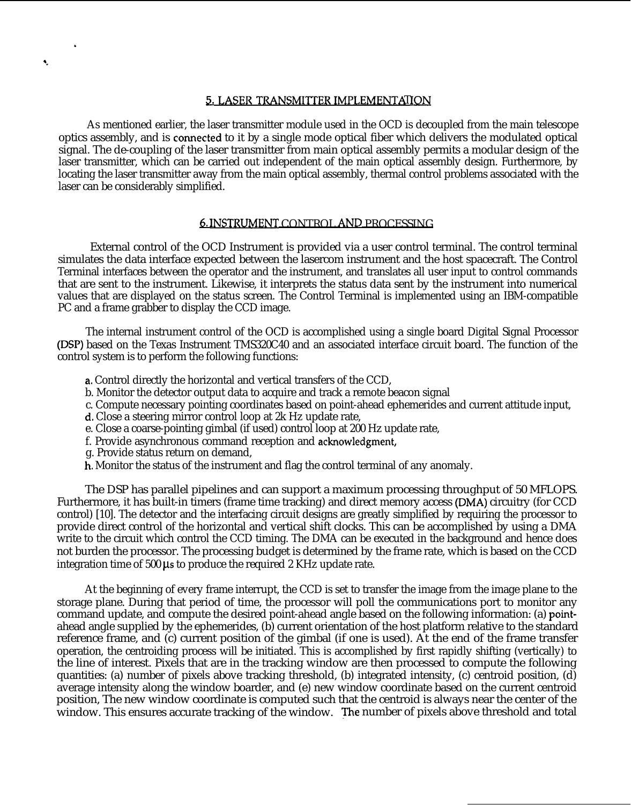As mentioned earlier, the laser transmitter module used in the OCD is decoupled from the main telescope optics assembly, and is comected to it by a single mode optical fiber which delivers the modulated optical signal. The de-coupling of the laser transmitter from main optical assembly permits a modular design of the laser transmitter, which can be carried out independent of the main optical assembly design. Furthermore, by locating the laser transmitter away from the main optical assembly, thermal control problems associated with the laser can be considerably simplified.

### 6. INSTRUMENT CONTROL AND PROCESSING

External control of the OCD Instrument is provided via a user control terminal. The control terminal simulates the data interface expected between the lasercom instrument and the host spacecraft. The Control Terminal interfaces between the operator and the instrument, and translates all user input to control commands that are sent to the instrument. Likewise, it interprets the status data sent by the instrument into numerical values that are displayed on the status screen. The Control Terminal is implemented using an IBM-compatible PC and a frame grabber to display the CCD image.

The internal instrument control of the OCD is accomplished using a single board Digital Signal Processor (DSP) based on the Texas Instrument TMS320C40 and an associated interface circuit board. The function of the control system is to perform the following functions:

- a, Control directly the horizontal and vertical transfers of the CCD,
- b. Monitor the detector output data to acquire and track a remote beacon signal
- c. Compute necessary pointing coordinates based on point-ahead ephemerides and current attitude input,
- d, Close a steering mirror control loop at 2k Hz update rate,
- e. Close a coarse-pointing gimbal (if used) control loop at 200 Hz update rate,
- f. Provide asynchronous command reception and acknowledgment,
- g. Provide status return on demand,

 $\blacktriangleleft$ 

h. Monitor the status of the instrument and flag the control terminal of any anomaly.

The DSP has parallel pipelines and can support a maximum processing throughput of 50 MFLOPS. Furthermore, it has built-in timers (frame time tracking) and direct memory access (DMA) circuitry (for CCD control) [10]. The detector and the interfacing circuit designs are greatly simplified by requiring the processor to provide direct control of the horizontal and vertical shift clocks. This can be accomplished by using a DMA write to the circuit which control the CCD timing. The DMA can be executed in the background and hence does not burden the processor. The processing budget is determined by the frame rate, which is based on the CCD integration time of 500  $\mu$ s to produce the required 2 KHz update rate.

At the beginning of every frame interrupt, the CCD is set to transfer the image from the image plane to the storage plane. During that period of time, the processor will poll the communications port to monitor any command update, and compute the desired point-ahead angle based on the following information: (a) pointahead angle supplied by the ephemerides, (b) current orientation of the host platform relative to the standard reference frame, and (c) current position of the gimbal (if one is used). At the end of the frame transfer operation, the centroiding process will be initiated. This is accomplished by first rapidly shifting (vertically) to the line of interest. Pixels that are in the tracking window are then processed to compute the following quantities: (a) number of pixels above tracking threshold, (b) integrated intensity, (c) centroid position, (d) average intensity along the window boarder, and (e) new window coordinate based on the current centroid position, The new window coordinate is computed such that the centroid is always near the center of the window. This ensures accurate tracking of the window. The number of pixels above threshold and total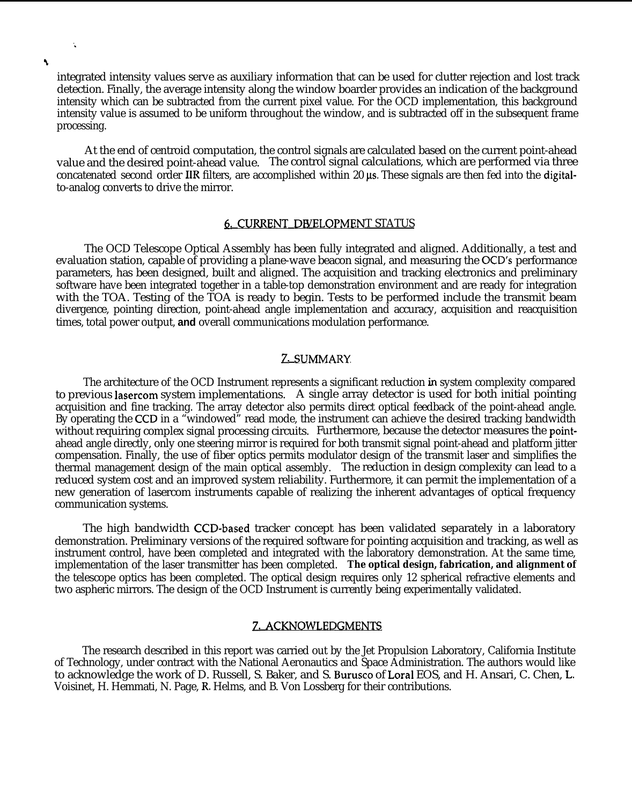integrated intensity values serve as auxiliary information that can be used for clutter rejection and lost track detection. Finally, the average intensity along the window boarder provides an indication of the background intensity which can be subtracted from the current pixel value. For the OCD implementation, this background intensity value is assumed to be uniform throughout the window, and is subtracted off in the subsequent frame processing.

 $\ddot{\phantom{1}}$ 

 $\ddot{\phantom{a}}$ 

At the end of centroid computation, the control signals are calculated based on the current point-ahead value and the desired point-ahead value. The control signal calculations, which are performed via three concatenated second order IIR filters, are accomplished within 20  $\mu$ s. These signals are then fed into the digitalto-analog converts to drive the mirror.

#### 6. CURRENT DEVELOPMENT STATUS

The OCD Telescope Optical Assembly has been fully integrated and aligned. Additionally, a test and evaluation station, capable of providing a plane-wave beacon signal, and measuring the OCD'S performance parameters, has been designed, built and aligned. The acquisition and tracking electronics and preliminary software have been integrated together in a table-top demonstration environment and are ready for integration with the TOA. Testing of the TOA is ready to begin. Tests to be performed include the transmit beam divergence, pointing direction, point-ahead angle implementation and accuracy, acquisition and reacquisition times, total power output, **and** overall communications modulation performance.

### 7. SUMMARY

The architecture of the OCD Instrument represents a significant reduction in system complexity compared to previous lasercom system implementations. A single array detector is used for both initial pointing acquisition and fine tracking. The array detector also permits direct optical feedback of the point-ahead angle. By operating the CCD in a "windowed" read mode, the instrument can achieve the desired tracking bandwidth without requiring complex signal processing circuits. Furthermore, because the detector measures the pointahead angle directly, only one steering mirror is required for both transmit signal point-ahead and platform jitter compensation. Finally, the use of fiber optics permits modulator design of the transmit laser and simplifies the thermal management design of the main optical assembly. The reduction in design complexity can lead to a reduced system cost and an improved system reliability. Furthermore, it can permit the implementation of a new generation of lasercom instruments capable of realizing the inherent advantages of optical frequency communication systems.

The high bandwidth CCD-based tracker concept has been validated separately in a laboratory demonstration. Preliminary versions of the required software for pointing acquisition and tracking, as well as instrument control, have been completed and integrated with the laboratory demonstration. At the same time, implementation of the laser transmitter has been completed. **The optical design, fabrication, and alignment of** the telescope optics has been completed. The optical design requires only 12 spherical refractive elements and two aspheric mirrors. The design of the OCD Instrument is currently being experimentally validated.

### **7. ACKNOWLEDGMENTS**

The research described in this report was carried out by the Jet Propulsion Laboratory, California Institute of Technology, under contract with the National Aeronautics and Space Administration. The authors would like to acknowledge the work of D. Russell, S. Baker, and S. Burusco of Loral EOS, and H. Ansari, C. Chen, L. Voisinet, H. Hemmati, N. Page, R. Helms, and B. Von Lossberg for their contributions.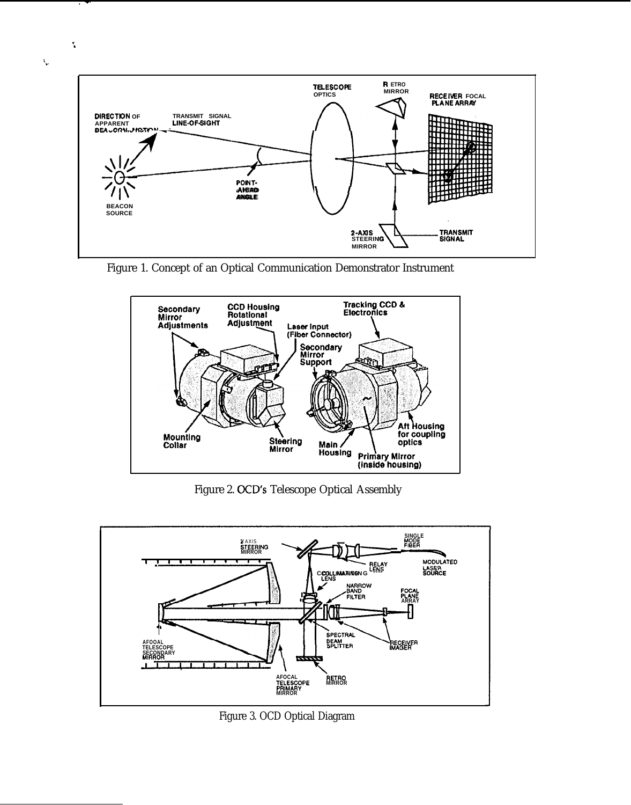

Figure 1. Concept of an Optical Communication Demonstrator Instrument

.-

 $\tilde{\mathbf{r}}$ 

 $\mathbf{v}_\mathrm{c}$ 



Figure 2. OCD'S Telescope Optical Assembly



Figure 3. OCD Optical Diagram